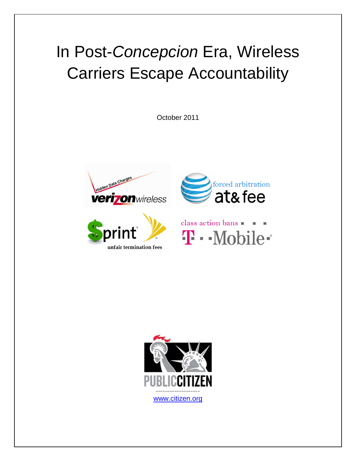# In Post-Concepcion Era, Wireless Carriers Escape Accountability

October 2011









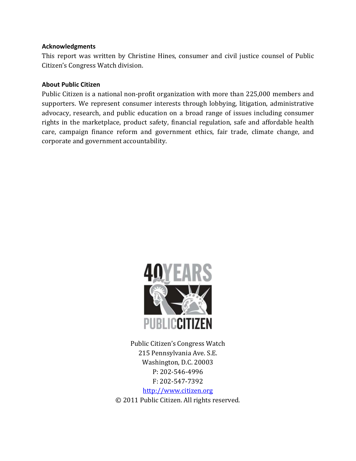#### **Acknowledgments**

This report was written by Christine Hines, consumer and civil justice counsel of Public Citizen's Congress Watch division.

#### **About Public Citizen**

Public Citizen is a national non-profit organization with more than 225,000 members and supporters. We represent consumer interests through lobbying, litigation, administrative advocacy, research, and public education on a broad range of issues including consumer rights in the marketplace, product safety, financial regulation, safe and affordable health care, campaign finance reform and government ethics, fair trade, climate change, and corporate and government accountability.



Public Citizen's Congress Watch 215 Pennsylvania Ave. S.E. Washington, D.C. 20003 P: 202-546-4996 F: 202-547-7392 http://www.citizen.org © 2011 Public Citizen. All rights reserved.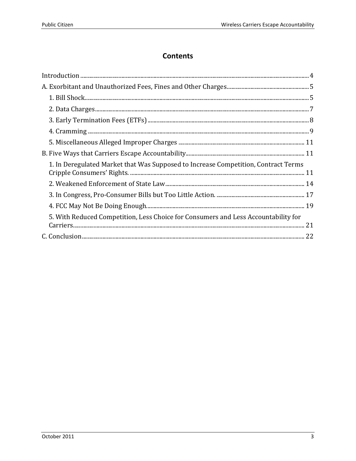# **Contents**

| 1. In Deregulated Market that Was Supposed to Increase Competition, Contract Terms |  |
|------------------------------------------------------------------------------------|--|
|                                                                                    |  |
|                                                                                    |  |
|                                                                                    |  |
| 5. With Reduced Competition, Less Choice for Consumers and Less Accountability for |  |
|                                                                                    |  |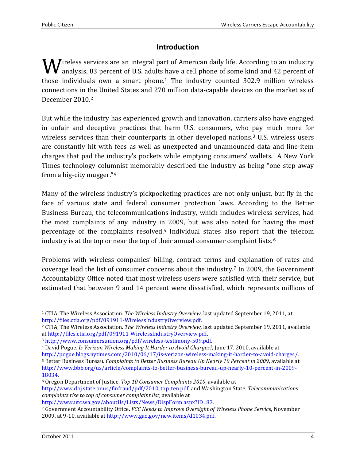## **Introduction**

**W** irreless services are an integral part of American daily life. According to an industry analysis, 83 percent of U.S. adults have a cell phone of some kind and 42 percent of analysis, 83 percent of U.S. adults have a cell phone of some kind and 42 percent of those individuals own a smart phone.1 The industry counted 302.9 million wireless connections in the United States and 270 million data-capable devices on the market as of December 2010.<sup>2</sup>

But while the industry has experienced growth and innovation, carriers also have engaged in unfair and deceptive practices that harm U.S. consumers, who pay much more for wireless services than their counterparts in other developed nations.<sup>3</sup> U.S. wireless users are constantly hit with fees as well as unexpected and unannounced data and line-item charges that pad the industry's pockets while emptying consumers' wallets. A New York Times technology columnist memorably described the industry as being "one step away from a big-city mugger."<sup>4</sup>

Many of the wireless industry's pickpocketing practices are not only unjust, but fly in the face of various state and federal consumer protection laws. According to the Better Business Bureau, the telecommunications industry, which includes wireless services, had the most complaints of any industry in 2009, but was also noted for having the most percentage of the complaints resolved.5 Individual states also report that the telecom industry is at the top or near the top of their annual consumer complaint lists. <sup>6</sup>

Problems with wireless companies' billing, contract terms and explanation of rates and coverage lead the list of consumer concerns about the industry.7 In 2009, the Government Accountability Office noted that most wireless users were satisfied with their service, but estimated that between 9 and 14 percent were dissatisfied, which represents millions of

<sup>6</sup> Oregon Department of Justice, *Top 10 Consumer Complaints 2010*, available at http://www.doj.state.or.us/finfraud/pdf/2010\_top\_ten.pdf, and Washington State. *Telecommunications complaints rise to top of consumer complaint list*, available at

http://www.utc.wa.gov/aboutUs/Lists/News/DispForm.aspx?ID=83.

 $\overline{a}$ <sup>1</sup> CTIA, The Wireless Association. *The Wireless Industry Overview,* last updated September 19, 2011, at http://files.ctia.org/pdf/091911-WirelessIndustryOverview.pdf.

<sup>2</sup> CTIA, The Wireless Association. *The Wireless Industry Overview,* last updated September 19, 2011, available at http://files.ctia.org/pdf/091911-WirelessIndustryOverview.pdf.

<sup>3</sup> http://www.consumersunion.org/pdf/wireless-testimony-509.pdf.

<sup>4</sup> David Pogue. *Is Verizon Wireless Making It Harder to Avoid Charges?*, June 17, 2010, available at

http://pogue.blogs.nytimes.com/2010/06/17/is-verizon-wireless-making-it-harder-to-avoid-charges/.

<sup>5</sup> Better Business Bureau. *Complaints to Better Business Bureau Up Nearly 10 Percent in 2009*, available at http://www.bbb.org/us/article/complaints-to-better-business-bureau-up-nearly-10-percent-in-2009- 18034.

<sup>7</sup> Government Accountability Office. *FCC Needs to Improve Oversight of Wireless Phone Service*, November 2009, at 9-10, available at http://www.gao.gov/new.items/d1034.pdf.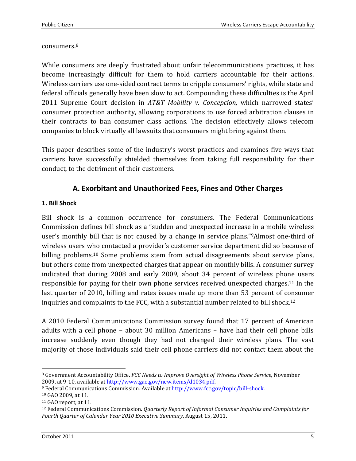#### consumers.<sup>8</sup>

While consumers are deeply frustrated about unfair telecommunications practices, it has become increasingly difficult for them to hold carriers accountable for their actions. Wireless carriers use one-sided contract terms to cripple consumers' rights, while state and federal officials generally have been slow to act. Compounding these difficulties is the April 2011 Supreme Court decision in *AT&T Mobility v. Concepcion,* which narrowed states' consumer protection authority, allowing corporations to use forced arbitration clauses in their contracts to ban consumer class actions. The decision effectively allows telecom companies to block virtually all lawsuits that consumers might bring against them.

This paper describes some of the industry's worst practices and examines five ways that carriers have successfully shielded themselves from taking full responsibility for their conduct, to the detriment of their customers.

### **A. Exorbitant and Unauthorized Fees, Fines and Other Charges**

#### **1. Bill Shock**

Bill shock is a common occurrence for consumers. The Federal Communications Commission defines bill shock as a "sudden and unexpected increase in a mobile wireless user's monthly bill that is not caused by a change in service plans."9Almost one-third of wireless users who contacted a provider's customer service department did so because of billing problems.10 Some problems stem from actual disagreements about service plans, but others come from unexpected charges that appear on monthly bills. A consumer survey indicated that during 2008 and early 2009, about 34 percent of wireless phone users responsible for paying for their own phone services received unexpected charges.11 In the last quarter of 2010, billing and rates issues made up more than 53 percent of consumer inquiries and complaints to the FCC, with a substantial number related to bill shock.<sup>12</sup>

A 2010 Federal Communications Commission survey found that 17 percent of American adults with a cell phone – about 30 million Americans – have had their cell phone bills increase suddenly even though they had not changed their wireless plans. The vast majority of those individuals said their cell phone carriers did not contact them about the

 $\overline{a}$ <sup>8</sup> Government Accountability Office. *FCC Needs to Improve Oversight of Wireless Phone Service*, November 2009, at 9-10, available at http://www.gao.gov/new.items/d1034.pdf.

<sup>9</sup> Federal Communications Commission. Available at http://www.fcc.gov/topic/bill-shock.

<sup>10</sup> GAO 2009, at 11.

<sup>11</sup> GAO report, at 11.

<sup>12</sup> Federal Communications Commission. *Quarterly Report of Informal Consumer Inquiries and Complaints for Fourth Quarter of Calendar Year 2010 Executive Summary*, August 15, 2011.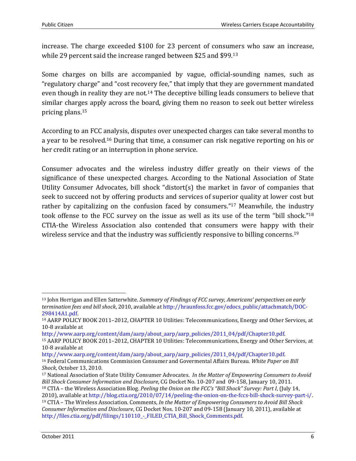increase. The charge exceeded \$100 for 23 percent of consumers who saw an increase, while 29 percent said the increase ranged between \$25 and \$99.<sup>13</sup>

Some charges on bills are accompanied by vague, official-sounding names, such as "regulatory charge" and "cost recovery fee," that imply that they are government mandated even though in reality they are not.<sup>14</sup> The deceptive billing leads consumers to believe that similar charges apply across the board, giving them no reason to seek out better wireless pricing plans.<sup>15</sup>

According to an FCC analysis, disputes over unexpected charges can take several months to a year to be resolved.16 During that time, a consumer can risk negative reporting on his or her credit rating or an interruption in phone service.

Consumer advocates and the wireless industry differ greatly on their views of the significance of these unexpected charges. According to the National Association of State Utility Consumer Advocates, bill shock "distort(s) the market in favor of companies that seek to succeed not by offering products and services of superior quality at lower cost but rather by capitalizing on the confusion faced by consumers."17 Meanwhile, the industry took offense to the FCC survey on the issue as well as its use of the term "bill shock."<sup>18</sup> CTIA-the Wireless Association also contended that consumers were happy with their wireless service and that the industry was sufficiently responsive to billing concerns.<sup>19</sup>

http://www.aarp.org/content/dam/aarp/about\_aarp/aarp\_policies/2011\_04/pdf/Chapter10.pdf

<sup>15</sup> AARP POLICY BOOK 2011–2012, CHAPTER 10 Utilities: Telecommunications, Energy and Other Services, at 10-8 available at

http://www.aarp.org/content/dam/aarp/about\_aarp/aarp\_policies/2011\_04/pdf/Chapter10.pdf. <sup>16</sup> Federal Communications Commission Consumer and Govermental Affairs Bureau. *White Paper on Bill Shock*, October 13, 2010.

<sup>18</sup> CTIA – the Wireless Association Blog. *Peeling the Onion on the FCC's "Bill Shock" Survey: Part I*, (July 14, 2010), available at http://blog.ctia.org/2010/07/14/peeling-the-onion-on-the-fccs-bill-shock-survey-part-i/. <sup>19</sup> CTIA – The Wireless Association. Comments, *In the Matter of Empowering Consumers to Avoid Bill Shock Consumer Information and Disclosure*, CG Docket Nos. 10-207 and 09-158 (January 10, 2011), available at

 $\overline{a}$ 

<sup>13</sup> John Horrigan and Ellen Satterwhite. *Summary of Findings of FCC survey, Americans' perspectives on early termination fees and bill shock*, 2010, available at http://hraunfoss.fcc.gov/edocs\_public/attachmatch/DOC-298414A1.pdf.

<sup>14</sup> AARP POLICY BOOK 2011–2012, CHAPTER 10 Utilities: Telecommunications, Energy and Other Services, at 10-8 available at

<sup>17</sup> National Association of State Utility Consumer Advocates. *In the Matter of Empowering Consumers to Avoid Bill Shock Consumer Information and Disclosure*, CG Docket No. 10-207 and 09-158, January 10, 2011.

http://files.ctia.org/pdf/filings/110110\_-\_FILED\_CTIA\_Bill\_Shock\_Comments.pdf.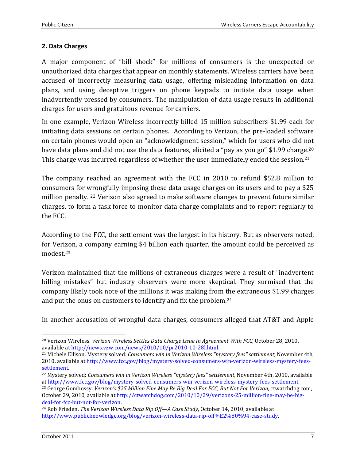#### **2. Data Charges**

A major component of "bill shock" for millions of consumers is the unexpected or unauthorized data charges that appear on monthly statements. Wireless carriers have been accused of incorrectly measuring data usage, offering misleading information on data plans, and using deceptive triggers on phone keypads to initiate data usage when inadvertently pressed by consumers. The manipulation of data usage results in additional charges for users and gratuitous revenue for carriers.

In one example, Verizon Wireless incorrectly billed 15 million subscribers \$1.99 each for initiating data sessions on certain phones. According to Verizon, the pre-loaded software on certain phones would open an "acknowledgment session," which for users who did not have data plans and did not use the data features, elicited a "pay as you go" \$1.99 charge.<sup>20</sup> This charge was incurred regardless of whether the user immediately ended the session.<sup>21</sup>

The company reached an agreement with the FCC in 2010 to refund \$52.8 million to consumers for wrongfully imposing these data usage charges on its users and to pay a \$25 million penalty. 22 Verizon also agreed to make software changes to prevent future similar charges, to form a task force to monitor data charge complaints and to report regularly to the FCC.

According to the FCC, the settlement was the largest in its history. But as observers noted, for Verizon, a company earning \$4 billion each quarter, the amount could be perceived as modest.<sup>23</sup>

Verizon maintained that the millions of extraneous charges were a result of "inadvertent billing mistakes" but industry observers were more skeptical. They surmised that the company likely took note of the millions it was making from the extraneous \$1.99 charges and put the onus on customers to identify and fix the problem.<sup>24</sup>

In another accusation of wrongful data charges, consumers alleged that AT&T and Apple

<sup>&</sup>lt;u>.</u> <sup>20</sup> Verizon Wireless. *Verizon Wireless Settles Data Charge Issue In Agreement With FCC*, October 28, 2010, available at http://news.vzw.com/news/2010/10/pr2010-10-28l.html.

<sup>21</sup> Michele Ellison. Mystery solved: *Consumers win in Verizon Wireless "mystery fees" settlement,* November 4th, 2010, available at http://www.fcc.gov/blog/mystery-solved-consumers-win-verizon-wireless-mystery-feessettlement.

<sup>22</sup> Mystery solved: *Consumers win in Verizon Wireless "mystery fees" settlement,* November 4th, 2010, available at http://www.fcc.gov/blog/mystery-solved-consumers-win-verizon-wireless-mystery-fees-settlement.

<sup>23</sup> George Gombossy. *Verizon's \$25 Million Fine May Be Big Deal For FCC, But Not For Verizon*, ctwatchdog.com, October 29, 2010, available at http://ctwatchdog.com/2010/10/29/verizons-25-million-fine-may-be-bigdeal-for-fcc-but-not-for-verizon.

<sup>24</sup> Rob Frieden. *The Verizon Wireless Data Rip Off—A Case Study*, October 14, 2010, available at http://www.publicknowledge.org/blog/verizon-wireless-data-rip-off%E2%80%94-case-study.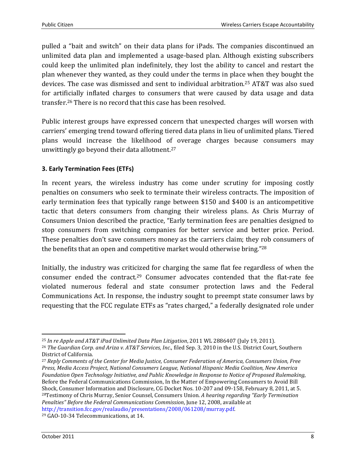pulled a "bait and switch" on their data plans for iPads. The companies discontinued an unlimited data plan and implemented a usage-based plan. Although existing subscribers could keep the unlimited plan indefinitely, they lost the ability to cancel and restart the plan whenever they wanted, as they could under the terms in place when they bought the devices. The case was dismissed and sent to individual arbitration.25 AT&T was also sued for artificially inflated charges to consumers that were caused by data usage and data transfer.26 There is no record that this case has been resolved.

Public interest groups have expressed concern that unexpected charges will worsen with carriers' emerging trend toward offering tiered data plans in lieu of unlimited plans. Tiered plans would increase the likelihood of overage charges because consumers may unwittingly go beyond their data allotment.<sup>27</sup>

#### **3. Early Termination Fees (ETFs)**

In recent years, the wireless industry has come under scrutiny for imposing costly penalties on consumers who seek to terminate their wireless contracts. The imposition of early termination fees that typically range between \$150 and \$400 is an anticompetitive tactic that deters consumers from changing their wireless plans. As Chris Murray of Consumers Union described the practice, "Early termination fees are penalties designed to stop consumers from switching companies for better service and better price. Period. These penalties don't save consumers money as the carriers claim; they rob consumers of the benefits that an open and competitive market would otherwise bring."<sup>28</sup>

Initially, the industry was criticized for charging the same flat fee regardless of when the consumer ended the contract.29 Consumer advocates contended that the flat-rate fee violated numerous federal and state consumer protection laws and the Federal Communications Act. In response, the industry sought to preempt state consumer laws by requesting that the FCC regulate ETFs as "rates charged," a federally designated role under

<sup>&</sup>lt;u>.</u> <sup>25</sup> *In re Apple and AT&T iPad Unlimited Data Plan Litigation*, 2011 WL 2886407 (July 19, 2011).

<sup>26</sup> *The Guardian Corp. and Ariza v. AT&T Services, Inc*., filed Sep. 3, 2010 in the U.S. District Court, Southern District of California.

<sup>27</sup> *Reply Comments of the Center for Media Justice, Consumer Federation of America, Consumers Union, Free Press, Media Access Project, National Consumers League, National Hispanic Media Coalition, New America Foundation Open Technology Initiative, and Public Knowledge in Response to Notice of Proposed Rulemaking*, Before the Federal Communications Commission, In the Matter of Empowering Consumers to Avoid Bill Shock, Consumer Information and Disclosure, CG Docket Nos. 10-207 and 09-158, February 8, 2011, at 5. <sup>28</sup>Testimony of Chris Murray, Senior Counsel, Consumers Union. *A hearing regarding "Early Termination Penalties" Before the Federal Communications Commission*, June 12, 2008, available at http://transition.fcc.gov/realaudio/presentations/2008/061208/murray.pdf.

<sup>29</sup> GAO-10-34 Telecommunications, at 14.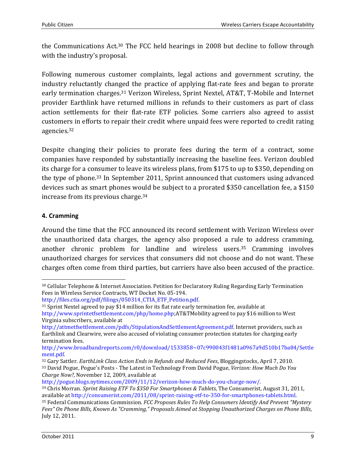the Communications Act.30 The FCC held hearings in 2008 but decline to follow through with the industry's proposal.

Following numerous customer complaints, legal actions and government scrutiny, the industry reluctantly changed the practice of applying flat-rate fees and began to prorate early termination charges.31 Verizon Wireless, Sprint Nextel, AT&T, T-Mobile and Internet provider Earthlink have returned millions in refunds to their customers as part of class action settlements for their flat-rate ETF policies. Some carriers also agreed to assist customers in efforts to repair their credit where unpaid fees were reported to credit rating agencies.<sup>32</sup>

Despite changing their policies to prorate fees during the term of a contract, some companies have responded by substantially increasing the baseline fees. Verizon doubled its charge for a consumer to leave its wireless plans, from \$175 to up to \$350, depending on the type of phone.33 In September 2011, Sprint announced that customers using advanced devices such as smart phones would be subject to a prorated \$350 cancellation fee, a \$150 increase from its previous charge.<sup>34</sup>

#### **4. Cramming**

Around the time that the FCC announced its record settlement with Verizon Wireless over the unauthorized data charges, the agency also proposed a rule to address cramming, another chronic problem for landline and wireless users.35 Cramming involves unauthorized charges for services that consumers did not choose and do not want. These charges often come from third parties, but carriers have also been accused of the practice.

<sup>&</sup>lt;u>.</u> <sup>30</sup> Cellular Telephone & Internet Association. Petition for Declaratory Ruling Regarding Early Termination Fees in Wireless Service Contracts, WT Docket No. 05-194.

http://files.ctia.org/pdf/filings/050314\_CTIA\_ETF\_Petition.pdf.

<sup>31</sup> Sprint Nextel agreed to pay \$14 million for its flat rate early termination fee, available at http://www.sprintetfsettlement.com/php/home.php;AT&TMobility agreed to pay \$16 million to West Virginia subscribers, available at

http://attmetfsettlement.com/pdfs/StipulationAndSettlementAgreement.pdf. Internet providers, such as Earthlink and Clearwire, were also accused of violating consumer protection statutes for charging early termination fees.

http://www.broadbandreports.com/r0/download/1533858~07c990043f1481a0967a9d510b17ba84/Settle ment.pdf.

<sup>32</sup> Gary Sattler. *EarthLink Class Action Ends in Refunds and Reduced Fees*, Bloggingstocks, April 7, 2010. <sup>33</sup> David Pogue, Pogue's Posts - The Latest in Technology From David Pogue, *Verizon: How Much Do You Charge Now?*, November 12, 2009, available at

http://pogue.blogs.nytimes.com/2009/11/12/verizon-how-much-do-you-charge-now/.

<sup>34</sup> Chris Morran. *Sprint Raising ETF To \$350 For Smartphones & Tablets*, The Consumerist, August 31, 2011, available at http://consumerist.com/2011/08/sprint-raising-etf-to-350-for-smartphones-tablets.html.

<sup>35</sup> Federal Communications Commission. *FCC Proposes Rules To Help Consumers Identify And Prevent "Mystery Fees" On Phone Bills, Known As "Cramming," Proposals Aimed at Stopping Unauthorized Charges on Phone Bills*, July 12, 2011.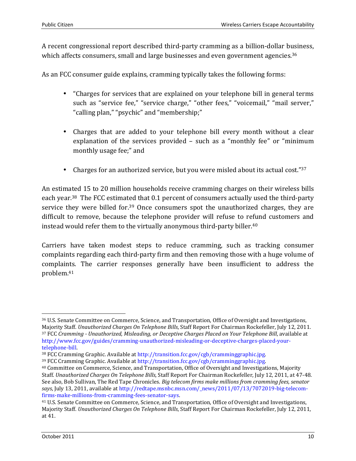A recent congressional report described third-party cramming as a billion-dollar business, which affects consumers, small and large businesses and even government agencies.<sup>36</sup>

As an FCC consumer guide explains, cramming typically takes the following forms:

- "Charges for services that are explained on your telephone bill in general terms such as "service fee," "service charge," "other fees," "voicemail," "mail server," "calling plan," "psychic" and "membership;"
- Charges that are added to your telephone bill every month without a clear explanation of the services provided – such as a "monthly fee" or "minimum monthly usage fee;" and
- Charges for an authorized service, but you were misled about its actual cost."37

An estimated 15 to 20 million households receive cramming charges on their wireless bills each year.38 The FCC estimated that 0.1 percent of consumers actually used the third-party service they were billed for.<sup>39</sup> Once consumers spot the unauthorized charges, they are difficult to remove, because the telephone provider will refuse to refund customers and instead would refer them to the virtually anonymous third-party biller.<sup>40</sup>

Carriers have taken modest steps to reduce cramming, such as tracking consumer complaints regarding each third-party firm and then removing those with a huge volume of complaints. The carrier responses generally have been insufficient to address the problem.<sup>41</sup>

<sup>&</sup>lt;u>.</u> <sup>36</sup> U.S. Senate Committee on Commerce, Science, and Transportation, Office of Oversight and Investigations, Majority Staff. *Unauthorized Charges On Telephone Bills*, Staff Report For Chairman Rockefeller, July 12, 2011. <sup>37</sup> FCC *Cramming - Unauthorized, Misleading, or Deceptive Charges Placed on Your Telephone Bill*, available at http://www.fcc.gov/guides/cramming-unauthorized-misleading-or-deceptive-charges-placed-yourtelephone-bill.

<sup>38</sup> FCC Cramming Graphic. Available at http://transition.fcc.gov/cgb/cramminggraphic.jpg.

<sup>39</sup> FCC Cramming Graphic. Available at http://transition.fcc.gov/cgb/cramminggraphic.jpg.

<sup>40</sup> Committee on Commerce, Science, and Transportation, Office of Oversight and Investigations, Majority Staff. *Unauthorized Charges On Telephone Bills*, Staff Report For Chairman Rockefeller, July 12, 2011, at 47-48. See also, Bob Sullivan, The Red Tape Chronicles. *Big telecom firms make millions from cramming fees, senator*  says, July 13, 2011, available at http://redtape.msnbc.msn.com/\_news/2011/07/13/7072019-big-telecomfirms-make-millions-from-cramming-fees-senator-says.

<sup>41</sup> U.S. Senate Committee on Commerce, Science, and Transportation, Office of Oversight and Investigations, Majority Staff. *Unauthorized Charges On Telephone Bills*, Staff Report For Chairman Rockefeller, July 12, 2011, at 41.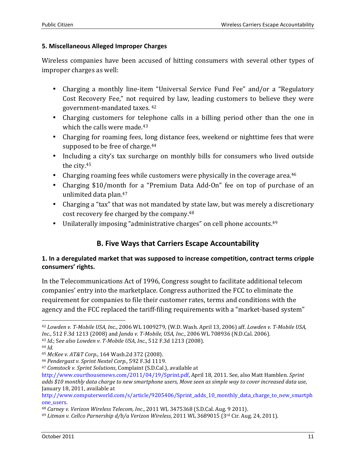#### **5. Miscellaneous Alleged Improper Charges**

Wireless companies have been accused of hitting consumers with several other types of improper charges as well:

- Charging a monthly line-item "Universal Service Fund Fee" and/or a "Regulatory Cost Recovery Fee," not required by law, leading customers to believe they were government-mandated taxes. <sup>42</sup>
- Charging customers for telephone calls in a billing period other than the one in which the calls were made.<sup>43</sup>
- Charging for roaming fees, long distance fees, weekend or nighttime fees that were supposed to be free of charge.<sup>44</sup>
- Including a city's tax surcharge on monthly bills for consumers who lived outside the city.<sup>45</sup>
- Charging roaming fees while customers were physically in the coverage area.<sup>46</sup>
- Charging \$10/month for a "Premium Data Add-On" fee on top of purchase of an unlimited data plan.<sup>47</sup>
- Charging a "tax" that was not mandated by state law, but was merely a discretionary cost recovery fee charged by the company.<sup>48</sup>
- Unilaterally imposing "administrative charges" on cell phone accounts.<sup>49</sup>

# **B. Five Ways that Carriers Escape Accountability**

#### **1. In a deregulated market that was supposed to increase competition, contract terms cripple consumers' rights.**

In the Telecommunications Act of 1996, Congress sought to facilitate additional telecom companies' entry into the marketplace. Congress authorized the FCC to eliminate the requirement for companies to file their customer rates, terms and conditions with the agency and the FCC replaced the tariff-filing requirements with a "market-based system"

<sup>&</sup>lt;u>.</u> <sup>42</sup> *Lowden v. T-Mobile USA, Inc*., 2006 WL 1009279, (W.D. Wash. April 13, 2006) aff. *Lowden v. T-Mobile USA, Inc*., 512 F.3d 1213 (2008) and *Janda v. T-Mobile, USA, Inc*., 2006 WL 708936 (N.D.Cal. 2006).

<sup>43</sup> *Id*.; S*ee also Lowden v. T-Mobile USA, Inc*., 512 F.3d 1213 (2008).

<sup>44</sup> *Id.* 

<sup>45</sup> *McKee v. AT&T Corp*., 164 Wash.2d 372 (2008).

<sup>46</sup> *Pendergast v. Sprint Nextel Corp*., 592 F.3d 1119.

<sup>47</sup> *Comstock v. Sprint Solutions*, Complaint (S.D.Cal.), available at

http://www.courthousenews.com/2011/04/19/Sprint.pdf, April 18, 2011. See, also Matt Hamblen. *Sprint adds \$10 monthly data charge to new smartphone users, Move seen as simple way to cover increased data use*, January 18, 2011, available at

http://www.computerworld.com/s/article/9205406/Sprint\_adds\_10\_monthly\_data\_charge\_to\_new\_smartph one\_users.

<sup>48</sup> *Carney v. Verizon Wireless Telecom, Inc*., 2011 WL 3475368 (S.D.Cal. Aug. 9 2011).

<sup>49</sup> *Litman v. Cellco Parnership d/b/a Verizon Wireless*, 2011 WL 3689015 (3rd Cir. Aug. 24, 2011).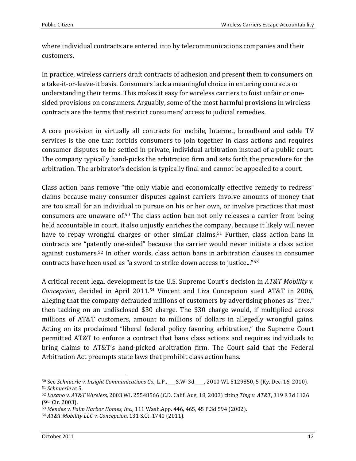where individual contracts are entered into by telecommunications companies and their customers.

In practice, wireless carriers draft contracts of adhesion and present them to consumers on a take-it-or-leave-it basis. Consumers lack a meaningful choice in entering contracts or understanding their terms. This makes it easy for wireless carriers to foist unfair or onesided provisions on consumers. Arguably, some of the most harmful provisions in wireless contracts are the terms that restrict consumers' access to judicial remedies.

A core provision in virtually all contracts for mobile, Internet, broadband and cable TV services is the one that forbids consumers to join together in class actions and requires consumer disputes to be settled in private, individual arbitration instead of a public court. The company typically hand-picks the arbitration firm and sets forth the procedure for the arbitration. The arbitrator's decision is typically final and cannot be appealed to a court.

Class action bans remove "the only viable and economically effective remedy to redress" claims because many consumer disputes against carriers involve amounts of money that are too small for an individual to pursue on his or her own, or involve practices that most consumers are unaware of.50 The class action ban not only releases a carrier from being held accountable in court, it also unjustly enriches the company, because it likely will never have to repay wrongful charges or other similar claims.<sup>51</sup> Further, class action bans in contracts are "patently one-sided" because the carrier would never initiate a class action against customers.52 In other words, class action bans in arbitration clauses in consumer contracts have been used as "a sword to strike down access to justice..."<sup>53</sup>

A critical recent legal development is the U.S. Supreme Court's decision in *AT&T Mobility v. Concepcion*, decided in April 2011.54 Vincent and Liza Concepcion sued AT&T in 2006, alleging that the company defrauded millions of customers by advertising phones as "free," then tacking on an undisclosed \$30 charge. The \$30 charge would, if multiplied across millions of AT&T customers, amount to millions of dollars in allegedly wrongful gains. Acting on its proclaimed "liberal federal policy favoring arbitration," the Supreme Court permitted AT&T to enforce a contract that bans class actions and requires individuals to bring claims to AT&T's hand-picked arbitration firm. The Court said that the Federal Arbitration Act preempts state laws that prohibit class action bans.

<sup>&</sup>lt;u>.</u> <sup>50</sup> See *Schnuerle v. Insight Communications Co*., L.P., \_\_\_ S.W. 3d \_\_\_\_, 2010 WL 5129850, 5 (Ky. Dec. 16, 2010). <sup>51</sup> *Schnuerle* at 5.

<sup>52</sup> *Lozano v. AT&T Wireless*, 2003 WL 25548566 (C.D. Calif. Aug. 18, 2003) citing *Ting v. AT&T*, 319 F.3d 1126 (9th Cir. 2003).

<sup>53</sup> *Mendez v. Palm Harbor Homes, Inc.,* 111 Wash.App. 446, 465, 45 P.3d 594 (2002).

<sup>54</sup> *AT&T Mobility LLC v. Concepcion*, 131 S.Ct. 1740 (2011).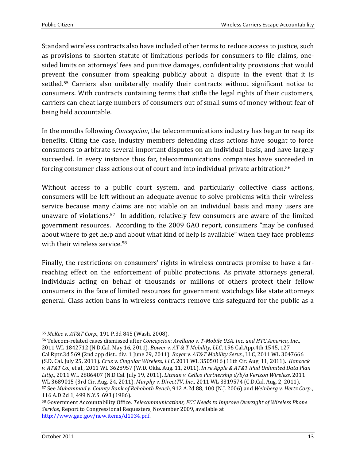Standard wireless contracts also have included other terms to reduce access to justice, such as provisions to shorten statute of limitations periods for consumers to file claims, onesided limits on attorneys' fees and punitive damages, confidentiality provisions that would prevent the consumer from speaking publicly about a dispute in the event that it is settled.55 Carriers also unilaterally modify their contracts without significant notice to consumers. With contracts containing terms that stifle the legal rights of their customers, carriers can cheat large numbers of consumers out of small sums of money without fear of being held accountable.

In the months following *Concepcion*, the telecommunications industry has begun to reap its benefits. Citing the case, industry members defending class actions have sought to force consumers to arbitrate several important disputes on an individual basis, and have largely succeeded. In every instance thus far, telecommunications companies have succeeded in forcing consumer class actions out of court and into individual private arbitration.<sup>56</sup>

Without access to a public court system, and particularly collective class actions, consumers will be left without an adequate avenue to solve problems with their wireless service because many claims are not viable on an individual basis and many users are unaware of violations.57 In addition, relatively few consumers are aware of the limited government resources. According to the 2009 GAO report, consumers "may be confused about where to get help and about what kind of help is available" when they face problems with their wireless service.<sup>58</sup>

Finally, the restrictions on consumers' rights in wireless contracts promise to have a farreaching effect on the enforcement of public protections. As private attorneys general, individuals acting on behalf of thousands or millions of others protect their fellow consumers in the face of limited resources for government watchdogs like state attorneys general. Class action bans in wireless contracts remove this safeguard for the public as a

<sup>&</sup>lt;u>.</u> <sup>55</sup> *McKee v. AT&T Corp*., 191 P.3d 845 (Wash. 2008).

<sup>56</sup> Telecom-related cases dismissed after *Concepcion*: *Arellano v. T-Mobile USA, Inc. and HTC America, Inc*., 2011 WL 1842712 (N.D.Cal. May 16, 2011). *Bower v. AT & T Mobility, LLC*, 196 Cal.App.4th 1545, 127 Cal.Rptr.3d 569 (2nd app dist.. div. 1 June 29, 2011). *Boyer v. AT&T Mobility Servs*., LLC, 2011 WL 3047666 (S.D. Cal. July 25, 2011). *Cruz v. Cingular Wireless, LLC*, 2011 WL 3505016 (11th Cir. Aug. 11, 2011). *Hancock v. AT&T Co.*, et al., 2011 WL 3628957 (W.D. Okla. Aug. 11, 2011). *In re Apple & AT&T iPad Unlimited Data Plan Litig.*, 2011 WL 2886407 (N.D.Cal. July 19, 2011). *Litman v. Cellco Partnership d/b/a Verizon Wireless*, 2011 WL 3689015 (3rd Cir. Aug. 24, 2011). *Murphy v. DirectTV, Inc.,* 2011 WL 3319574 (C.D.Cal. Aug. 2, 2011). <sup>57</sup> See *Muhammad v. County Bank of Rehoboth Beach,* 912 A.2d 88, 100 (N.J. 2006) and *Weinberg v. Hertz Corp*., 116 A.D.2d 1, 499 N.Y.S. 693 (1986).

<sup>58</sup> Government Accountability Office. *Telecommunications, FCC Needs to Improve Oversight of Wireless Phone Service*, Report to Congressional Requesters, November 2009, available at http://www.gao.gov/new.items/d1034.pdf.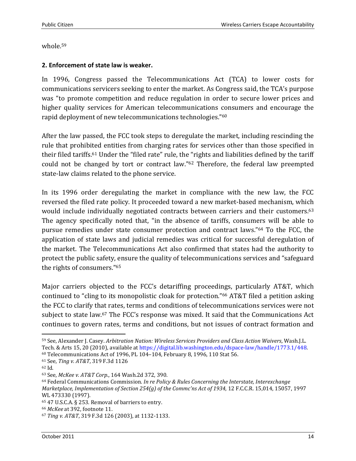whole.<sup>59</sup>

#### **2. Enforcement of state law is weaker.**

In 1996, Congress passed the Telecommunications Act (TCA) to lower costs for communications servicers seeking to enter the market. As Congress said, the TCA's purpose was "to promote competition and reduce regulation in order to secure lower prices and higher quality services for American telecommunications consumers and encourage the rapid deployment of new telecommunications technologies."<sup>60</sup>

After the law passed, the FCC took steps to deregulate the market, including rescinding the rule that prohibited entities from charging rates for services other than those specified in their filed tariffs.61 Under the "filed rate" rule, the "rights and liabilities defined by the tariff could not be changed by tort or contract law."62 Therefore, the federal law preempted state-law claims related to the phone service.

In its 1996 order deregulating the market in compliance with the new law, the FCC reversed the filed rate policy. It proceeded toward a new market-based mechanism, which would include individually negotiated contracts between carriers and their customers.<sup>63</sup> The agency specifically noted that, "in the absence of tariffs, consumers will be able to pursue remedies under state consumer protection and contract laws."64 To the FCC, the application of state laws and judicial remedies was critical for successful deregulation of the market. The Telecommunications Act also confirmed that states had the authority to protect the public safety, ensure the quality of telecommunications services and "safeguard the rights of consumers."<sup>65</sup>

Major carriers objected to the FCC's detariffing proceedings, particularly AT&T, which continued to "cling to its monopolistic cloak for protection."66 AT&T filed a petition asking the FCC to clarify that rates, terms and conditions of telecommunications services were not subject to state law.<sup>67</sup> The FCC's response was mixed. It said that the Communications Act continues to govern rates, terms and conditions, but not issues of contract formation and

 $\overline{a}$ 

<sup>66</sup> *McKee* at 392, footnote 11.

<sup>59</sup> See, Alexander J. Casey. *Arbitration Nation: Wireless Services Providers and Class Action Waivers*, Wash.J.L. Tech. & Arts 15, 20 (2010), available at https://digital.lib.washington.edu/dspace-law/handle/1773.1/448. <sup>60</sup> Telecommunications Act of 1996, PL 104–104, February 8, 1996, 110 Stat 56.

<sup>61</sup> See, *Ting v. AT&T*, 319 F.3d 1126

<sup>62</sup> Id.

<sup>63</sup> See, *McKee v. AT&T Corp*., 164 Wash.2d 372, 390.

<sup>64</sup> Federal Communications Commission. *In re Policy & Rules Concerning the Interstate, Interexchange Marketplace, Implementation of Section 254(g) of the Commc'ns Act of 1934*, 12 F.C.C.R. 15,014, 15057, 1997 WL 473330 (1997).

<sup>65</sup> 47 U.S.C.A. § 253. Removal of barriers to entry.

<sup>67</sup> *Ting v. AT&T*, 319 F.3d 126 (2003), at 1132-1133.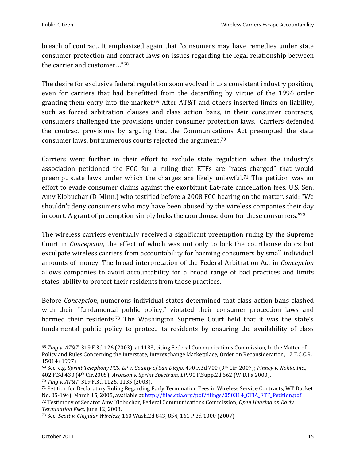breach of contract. It emphasized again that "consumers may have remedies under state consumer protection and contract laws on issues regarding the legal relationship between the carrier and customer…"<sup>68</sup>

The desire for exclusive federal regulation soon evolved into a consistent industry position, even for carriers that had benefitted from the detariffing by virtue of the 1996 order granting them entry into the market.<sup>69</sup> After AT&T and others inserted limits on liability, such as forced arbitration clauses and class action bans, in their consumer contracts, consumers challenged the provisions under consumer protection laws. Carriers defended the contract provisions by arguing that the Communications Act preempted the state consumer laws, but numerous courts rejected the argument.<sup>70</sup>

Carriers went further in their effort to exclude state regulation when the industry's association petitioned the FCC for a ruling that ETFs are "rates charged" that would preempt state laws under which the charges are likely unlawful.<sup>71</sup> The petition was an effort to evade consumer claims against the exorbitant flat-rate cancellation fees. U.S. Sen. Amy Klobuchar (D-Minn.) who testified before a 2008 FCC hearing on the matter, said: "We shouldn't deny consumers who may have been abused by the wireless companies their day in court. A grant of preemption simply locks the courthouse door for these consumers."<sup>72</sup>

The wireless carriers eventually received a significant preemption ruling by the Supreme Court in *Concepcion*, the effect of which was not only to lock the courthouse doors but exculpate wireless carriers from accountability for harming consumers by small individual amounts of money. The broad interpretation of the Federal Arbitration Act in *Concepcion*  allows companies to avoid accountability for a broad range of bad practices and limits states' ability to protect their residents from those practices.

Before *Concepcion*, numerous individual states determined that class action bans clashed with their "fundamental public policy," violated their consumer protection laws and harmed their residents.<sup>73</sup> The Washington Supreme Court held that it was the state's fundamental public policy to protect its residents by ensuring the availability of class

<u>.</u>

<sup>68</sup> *Ting v. AT&T*, 319 F.3d 126 (2003), at 1133, citing Federal Communications Commission, In the Matter of Policy and Rules Concerning the Interstate, Interexchange Marketplace, Order on Reconsideration, 12 F.C.C.R. 15014 (1997).

<sup>69</sup> See, e.g. *Sprint Telephony PCS, LP v. County of San Diego*, 490 F.3d 700 (9th Cir. 2007); *Pinney v. Nokia, Inc*., 402 F.3d 430 (4th Cir.2005); *Aronson v. Sprint Spectrum, LP*, 90 F.Supp.2d 662 (W.D.Pa.2000).

<sup>70</sup> *Ting v. AT&T*, 319 F.3d 1126, 1135 (2003).

<sup>71</sup> Petition for Declaratory Ruling Regarding Early Termination Fees in Wireless Service Contracts, WT Docket No. 05-194), March 15, 2005, available at http://files.ctia.org/pdf/filings/050314\_CTIA\_ETF\_Petition.pdf. <sup>72</sup> Testimony of Senator Amy Klobuchar, Federal Communications Commission, *Open Hearing on Early Termination Fees*, June 12, 2008.

<sup>73</sup> See, *Scott v. Cingular Wireless*, 160 Wash.2d 843, 854, 161 P.3d 1000 (2007).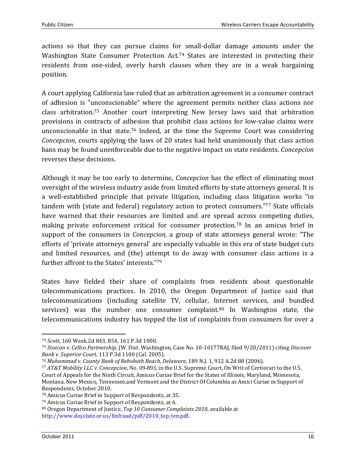actions so that they can pursue claims for small-dollar damage amounts under the Washington State Consumer Protection Act.<sup>74</sup> States are interested in protecting their residents from one-sided, overly harsh clauses when they are in a weak bargaining position.

A court applying California law ruled that an arbitration agreement in a consumer contract of adhesion is "unconscionable" where the agreement permits neither class actions nor class arbitration.75 Another court interpreting New Jersey laws said that arbitration provisions in contracts of adhesion that prohibit class actions for low-value claims were unconscionable in that state.76 Indeed, at the time the Supreme Court was considering *Concepcion*, courts applying the laws of 20 states had held unanimously that class action bans may be found unenforceable due to the negative impact on state residents. *Concepcion* reverses these decisions.

Although it may be too early to determine, *Concepcion* has the effect of eliminating most oversight of the wireless industry aside from limited efforts by state attorneys general. It is a well-established principle that private litigation, including class litigation works "in tandem with (state and federal) regulatory action to protect consumers."77 State officials have warned that their resources are limited and are spread across competing duties, making private enforcement critical for consumer protection.78 In an amicus brief in support of the consumers in *Concepcion,* a group of state attorneys general wrote: "The efforts of 'private attorneys general' are especially valuable in this era of state budget cuts and limited resources, and (the) attempt to do away with consumer class actions is a further affront to the States' interests."<sup>79</sup>

States have fielded their share of complaints from residents about questionable telecommunications practices. In 2010, the Oregon Department of Justice said that telecommunications (including satellite TV, cellular, Internet services, and bundled services) was the number one consumer complaint.<sup>80</sup> In Washington state, the telecommunications industry has topped the list of complaints from consumers for over a

 $\overline{a}$ 

<sup>74</sup> *Scott*, 160 Wash.2d 843, 854, 161 P.3d 1000.

<sup>75</sup> *Stoican v. Cellco Partnership*, (W. Dist. Washington, Case No. 10-10177RAJ, filed 9/20/2011) citing *Discover Bank v. Superior Court*, 113 P.3d 1100 (Cal. 2005).

<sup>76</sup> *Muhammad v. County Bank of Rehoboth Beach, Delaware*, 189 N.J. 1, 912 A.2d 88 (2006).

<sup>77</sup> *AT&T Mobility LLC v. Concepcion*, No. 09-893, in the U.S. Supreme Court, On Writ of Certiorari to the U.S. Court of Appeals for the Ninth Circuit, Amicus Curiae Brief for the States of Illinois, Maryland, Minnesota, Montana, New Mexico, Tennessee,and Vermont and the District Of Columbia as Amici Curiae in Support of Respondents, October 2010.

<sup>78</sup> Amicus Curiae Brief in Support of Respondents, at 35.

<sup>79</sup> Amicus Curiae Brief in Support of Respondents, at 6.

<sup>80</sup> Oregon Department of Justice, *Top 10 Consumer Complaints 2010*, available at http://www.doj.state.or.us/finfraud/pdf/2010\_top\_ten.pdf.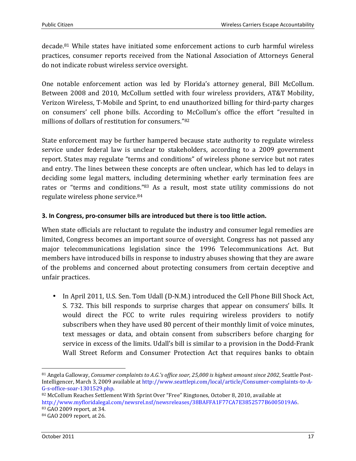decade.81 While states have initiated some enforcement actions to curb harmful wireless practices, consumer reports received from the National Association of Attorneys General do not indicate robust wireless service oversight.

One notable enforcement action was led by Florida's attorney general, Bill McCollum. Between 2008 and 2010, McCollum settled with four wireless providers, AT&T Mobility, Verizon Wireless, T-Mobile and Sprint, to end unauthorized billing for third-party charges on consumers' cell phone bills. According to McCollum's office the effort "resulted in millions of dollars of restitution for consumers."<sup>82</sup>

State enforcement may be further hampered because state authority to regulate wireless service under federal law is unclear to stakeholders, according to a 2009 government report. States may regulate "terms and conditions" of wireless phone service but not rates and entry. The lines between these concepts are often unclear, which has led to delays in deciding some legal matters, including determining whether early termination fees are rates or "terms and conditions."83 As a result, most state utility commissions do not regulate wireless phone service.<sup>84</sup>

#### **3. In Congress, pro-consumer bills are introduced but there is too little action.**

When state officials are reluctant to regulate the industry and consumer legal remedies are limited, Congress becomes an important source of oversight. Congress has not passed any major telecommunications legislation since the 1996 Telecommunications Act. But members have introduced bills in response to industry abuses showing that they are aware of the problems and concerned about protecting consumers from certain deceptive and unfair practices.

• In April 2011, U.S. Sen. Tom Udall (D-N.M.) introduced the Cell Phone Bill Shock Act, S. 732. This bill responds to surprise charges that appear on consumers' bills. It would direct the FCC to write rules requiring wireless providers to notify subscribers when they have used 80 percent of their monthly limit of voice minutes, text messages or data, and obtain consent from subscribers before charging for service in excess of the limits. Udall's bill is similar to a provision in the Dodd-Frank Wall Street Reform and Consumer Protection Act that requires banks to obtain

82 McCollum Reaches Settlement With Sprint Over "Free" Ringtones, October 8, 2010, available at http://www.myfloridalegal.com/newsrel.nsf/newsreleases/38BAFFA1F77CA7E3852577B6005019A6. <sup>83</sup> GAO 2009 report, at 34.

<sup>&</sup>lt;u>.</u> 81 Angela Galloway, *Consumer complaints to A.G.'s office soar, 25,000 is highest amount since 2002*, Seattle Post-Intelligencer, March 3, 2009 available at http://www.seattlepi.com/local/article/Consumer-complaints-to-A-G-s-office-soar-1301529.php.

<sup>84</sup> GAO 2009 report, at 26.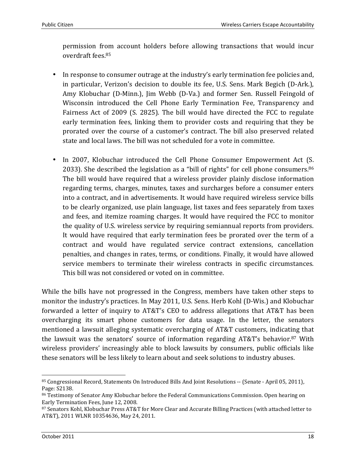permission from account holders before allowing transactions that would incur overdraft fees.<sup>85</sup>

- In response to consumer outrage at the industry's early termination fee policies and, in particular, Verizon's decision to double its fee, U.S. Sens. Mark Begich (D-Ark.), Amy Klobuchar (D-Minn.), Jim Webb (D-Va.) and former Sen. Russell Feingold of Wisconsin introduced the Cell Phone Early Termination Fee, Transparency and Fairness Act of 2009 (S. 2825). The bill would have directed the FCC to regulate early termination fees, linking them to provider costs and requiring that they be prorated over the course of a customer's contract. The bill also preserved related state and local laws. The bill was not scheduled for a vote in committee.
- In 2007, Klobuchar introduced the Cell Phone Consumer Empowerment Act (S. 2033). She described the legislation as a "bill of rights" for cell phone consumers.<sup>86</sup> The bill would have required that a wireless provider plainly disclose information regarding terms, charges, minutes, taxes and surcharges before a consumer enters into a contract, and in advertisements. It would have required wireless service bills to be clearly organized, use plain language, list taxes and fees separately from taxes and fees, and itemize roaming charges. It would have required the FCC to monitor the quality of U.S. wireless service by requiring semiannual reports from providers. It would have required that early termination fees be prorated over the term of a contract and would have regulated service contract extensions, cancellation penalties, and changes in rates, terms, or conditions. Finally, it would have allowed service members to terminate their wireless contracts in specific circumstances. This bill was not considered or voted on in committee.

While the bills have not progressed in the Congress, members have taken other steps to monitor the industry's practices. In May 2011, U.S. Sens. Herb Kohl (D-Wis.) and Klobuchar forwarded a letter of inquiry to AT&T's CEO to address allegations that AT&T has been overcharging its smart phone customers for data usage. In the letter, the senators mentioned a lawsuit alleging systematic overcharging of AT&T customers, indicating that the lawsuit was the senators' source of information regarding AT&T's behavior.87 With wireless providers' increasingly able to block lawsuits by consumers, public officials like these senators will be less likely to learn about and seek solutions to industry abuses.

 $\overline{a}$ 85 Congressional Record, Statements On Introduced Bills And Joint Resolutions -- (Senate - April 05, 2011), Page: S2138.

<sup>86</sup> Testimony of Senator Amy Klobuchar before the Federal Communications Commission. Open hearing on Early Termination Fees, June 12, 2008.

<sup>87</sup> Senators Kohl, Klobuchar Press AT&T for More Clear and Accurate Billing Practices (with attached letter to AT&T), 2011 WLNR 10354636, May 24, 2011.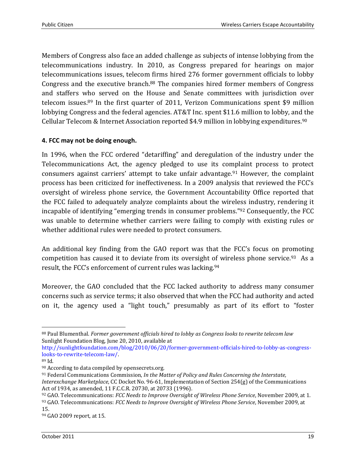Members of Congress also face an added challenge as subjects of intense lobbying from the telecommunications industry. In 2010, as Congress prepared for hearings on major telecommunications issues, telecom firms hired 276 former government officials to lobby Congress and the executive branch.88 The companies hired former members of Congress and staffers who served on the House and Senate committees with jurisdiction over telecom issues.89 In the first quarter of 2011, Verizon Communications spent \$9 million lobbying Congress and the federal agencies. AT&T Inc. spent \$11.6 million to lobby, and the Cellular Telecom & Internet Association reported \$4.9 million in lobbying expenditures.<sup>90</sup>

#### **4. FCC may not be doing enough.**

In 1996, when the FCC ordered "detariffing" and deregulation of the industry under the Telecommunications Act, the agency pledged to use its complaint process to protect consumers against carriers' attempt to take unfair advantage.91 However, the complaint process has been criticized for ineffectiveness. In a 2009 analysis that reviewed the FCC's oversight of wireless phone service, the Government Accountability Office reported that the FCC failed to adequately analyze complaints about the wireless industry, rendering it incapable of identifying "emerging trends in consumer problems."92 Consequently, the FCC was unable to determine whether carriers were failing to comply with existing rules or whether additional rules were needed to protect consumers.

An additional key finding from the GAO report was that the FCC's focus on promoting competition has caused it to deviate from its oversight of wireless phone service.<sup>93</sup> As a result, the FCC's enforcement of current rules was lacking.<sup>94</sup>

Moreover, the GAO concluded that the FCC lacked authority to address many consumer concerns such as service terms; it also observed that when the FCC had authority and acted on it, the agency used a "light touch," presumably as part of its effort to "foster

<sup>91</sup> Federal Communications Commission, *In the Matter of Policy and Rules Concerning the Interstate, Interexchange Marketplace*, CC Docket No. 96-61, Implementation of Section 254(g) of the Communications Act of 1934, as amended, 11 F.C.C.R. 20730, at 20733 (1996).

<sup>&</sup>lt;u>.</u> <sup>88</sup> Paul Blumenthal. *Former government officials hired to lobby as Congress looks to rewrite telecom law* Sunlight Foundation Blog, June 20, 2010, available at

http://sunlightfoundation.com/blog/2010/06/20/former-government-officials-hired-to-lobby-as-congresslooks-to-rewrite-telecom-law/.

<sup>89</sup> Id.

<sup>90</sup> According to data compiled by opensecrets.org.

<sup>92</sup> GAO. Telecommunications: *FCC Needs to Improve Oversight of Wireless Phone Service*, November 2009, at 1. <sup>93</sup> GAO. Telecommunications: *FCC Needs to Improve Oversight of Wireless Phone Service*, November 2009, at 15.

<sup>94</sup> GAO 2009 report, at 15.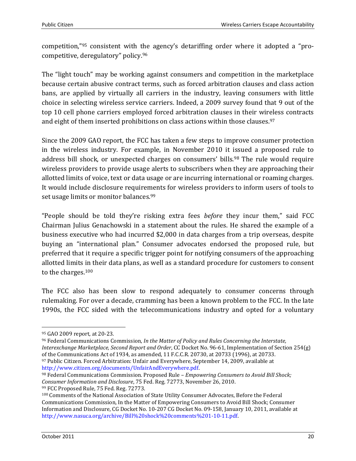competition,"95 consistent with the agency's detariffing order where it adopted a "procompetitive, deregulatory" policy.<sup>96</sup>

The "light touch" may be working against consumers and competition in the marketplace because certain abusive contract terms, such as forced arbitration clauses and class action bans, are applied by virtually all carriers in the industry, leaving consumers with little choice in selecting wireless service carriers. Indeed, a 2009 survey found that 9 out of the top 10 cell phone carriers employed forced arbitration clauses in their wireless contracts and eight of them inserted prohibitions on class actions within those clauses.<sup>97</sup>

Since the 2009 GAO report, the FCC has taken a few steps to improve consumer protection in the wireless industry. For example, in November 2010 it issued a proposed rule to address bill shock, or unexpected charges on consumers' bills.<sup>98</sup> The rule would require wireless providers to provide usage alerts to subscribers when they are approaching their allotted limits of voice, text or data usage or are incurring international or roaming charges. It would include disclosure requirements for wireless providers to inform users of tools to set usage limits or monitor balances.<sup>99</sup>

"People should be told they're risking extra fees *before* they incur them," said FCC Chairman Julius Genachowski in a statement about the rules. He shared the example of a business executive who had incurred \$2,000 in data charges from a trip overseas, despite buying an "international plan." Consumer advocates endorsed the proposed rule, but preferred that it require a specific trigger point for notifying consumers of the approaching allotted limits in their data plans, as well as a standard procedure for customers to consent to the charges.<sup>100</sup>

The FCC also has been slow to respond adequately to consumer concerns through rulemaking. For over a decade, cramming has been a known problem to the FCC. In the late 1990s, the FCC sided with the telecommunications industry and opted for a voluntary

http://www.citizen.org/documents/UnfairAndEverywhere.pdf.

<sup>98</sup> Federal Communications Commission. Proposed Rule – *Empowering Consumers to Avoid Bill Shock; Consumer Information and Disclosure*, 75 Fed. Reg. 72773, November 26, 2010. 99 FCC Proposed Rule, 75 Fed. Reg. 72773.

<u>.</u>

<sup>95</sup> GAO 2009 report, at 20-23.

<sup>96</sup> Federal Communications Commission, *In the Matter of Policy and Rules Concerning the Interstate, Interexchange Marketplace, Second Report and Order*, CC Docket No. 96-61, Implementation of Section 254(g) of the Communications Act of 1934, as amended, 11 F.C.C.R. 20730, at 20733 (1996), at 20733. <sup>97</sup> Public Citizen. Forced Arbitration: Unfair and Everywhere, September 14, 2009, available at

<sup>100</sup> Comments of the National Association of State Utility Consumer Advocates, Before the Federal Communications Commission, In the Matter of Empowering Consumers to Avoid Bill Shock; Consumer Information and Disclosure, CG Docket No. 10-207 CG Docket No. 09-158, January 10, 2011, available at http://www.nasuca.org/archive/Bill%20shock%20comments%201-10-11.pdf.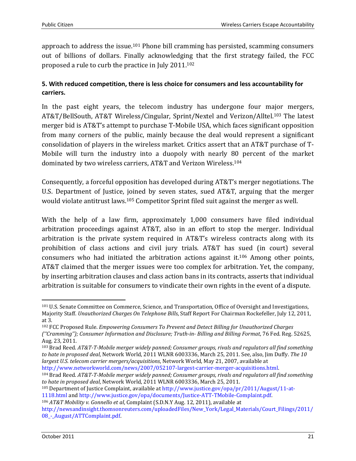approach to address the issue.101 Phone bill cramming has persisted, scamming consumers out of billions of dollars. Finally acknowledging that the first strategy failed, the FCC proposed a rule to curb the practice in July 2011.<sup>102</sup>

#### **5. With reduced competition, there is less choice for consumers and less accountability for carriers.**

In the past eight years, the telecom industry has undergone four major mergers, AT&T/BellSouth, AT&T Wireless/Cingular, Sprint/Nextel and Verizon/Alltel.103 The latest merger bid is AT&T's attempt to purchase T-Mobile USA, which faces significant opposition from many corners of the public, mainly because the deal would represent a significant consolidation of players in the wireless market. Critics assert that an AT&T purchase of T-Mobile will turn the industry into a duopoly with nearly 80 percent of the market dominated by two wireless carriers, AT&T and Verizon Wireless.<sup>104</sup>

Consequently, a forceful opposition has developed during AT&T's merger negotiations. The U.S. Department of Justice, joined by seven states, sued AT&T, arguing that the merger would violate antitrust laws.105 Competitor Sprint filed suit against the merger as well.

With the help of a law firm, approximately 1,000 consumers have filed individual arbitration proceedings against AT&T, also in an effort to stop the merger. Individual arbitration is the private system required in AT&T's wireless contracts along with its prohibition of class actions and civil jury trials. AT&T has sued (in court) several consumers who had initiated the arbitration actions against it.106 Among other points, AT&T claimed that the merger issues were too complex for arbitration. Yet, the company, by inserting arbitration clauses and class action bans in its contracts, asserts that individual arbitration is suitable for consumers to vindicate their own rights in the event of a dispute.

http://www.networkworld.com/news/2007/052107-largest-carrier-merger-acquisitions.html.

<sup>106</sup> *AT&T Mobility v. Gonnello et al*, Complaint (S.D.N.Y Aug. 12, 2011), available at

<u>.</u>

<sup>101</sup> U.S. Senate Committee on Commerce, Science, and Transportation, Office of Oversight and Investigations, Majority Staff. *Unauthorized Charges On Telephone Bills*, Staff Report For Chairman Rockefeller, July 12, 2011, at 3.

<sup>102</sup> FCC Proposed Rule. *Empowering Consumers To Prevent and Detect Billing for Unauthorized Charges (''Cramming''); Consumer Information and Disclosure; Truth-in- Billing and Billing Format*, 76 Fed. Reg. 52625, Aug. 23, 2011.

<sup>103</sup> Brad Reed. *AT&T-T-Mobile merger widely panned; Consumer groups, rivals and regulators all find something to hate in proposed deal*, Network World, 2011 WLNR 6003336, March 25, 2011. See, also, Jim Duffy. *The 10 largest U.S. telecom carrier mergers/acquisitions*, Network World, May 21, 2007, available at

<sup>104</sup> Brad Reed. *AT&T-T-Mobile merger widely panned; Consumer groups, rivals and regulators all find something to hate in proposed deal*, Network World, 2011 WLNR 6003336, March 25, 2011.

<sup>105</sup> Department of Justice Complaint, available at http://www.justice.gov/opa/pr/2011/August/11-at-

<sup>1118.</sup>html and http://www.justice.gov/opa/documents/Justice-ATT-TMobile-Complaint.pdf.

http://newsandinsight.thomsonreuters.com/uploadedFiles/New\_York/Legal\_Materials/Court\_Filings/2011/ 08\_-\_August/ATTComplaint.pdf.